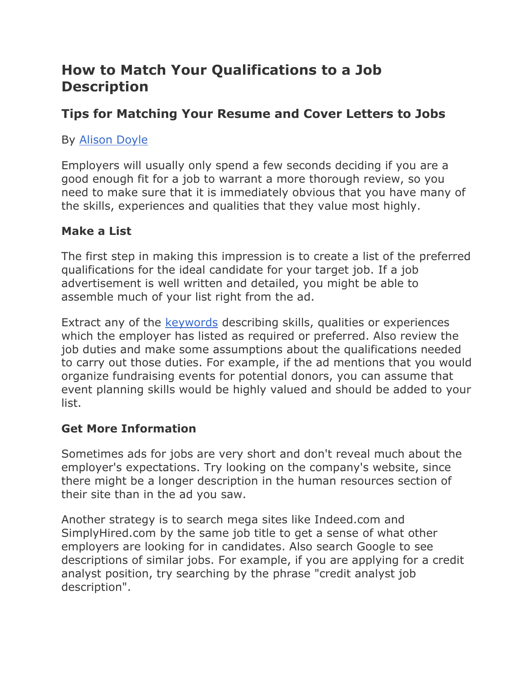# **How to Match Your Qualifications to a Job Description**

# **Tips for Matching Your Resume and Cover Letters to Jobs**

# By [Alison Doyle](http://jobsearch.about.com/bio/Alison-Doyle-2335.htm)

Employers will usually only spend a few seconds deciding if you are a good enough fit for a job to warrant a more thorough review, so you need to make sure that it is immediately obvious that you have many of the skills, experiences and qualities that they value most highly.

## **Make a List**

The first step in making this impression is to create a list of the preferred qualifications for the ideal candidate for your target job. If a job advertisement is well written and detailed, you might be able to assemble much of your list right from the ad.

Extract any of the [keywords](http://jobsearch.about.com/od/jobsearchglossary/g/keyword-definition.htm) describing skills, qualities or experiences which the employer has listed as required or preferred. Also review the job duties and make some assumptions about the qualifications needed to carry out those duties. For example, if the ad mentions that you would organize fundraising events for potential donors, you can assume that event planning skills would be highly valued and should be added to your list.

## **Get More Information**

Sometimes ads for jobs are very short and don't reveal much about the employer's expectations. Try looking on the company's website, since there might be a longer description in the human resources section of their site than in the ad you saw.

Another strategy is to search mega sites like Indeed.com and SimplyHired.com by the same job title to get a sense of what other employers are looking for in candidates. Also search Google to see descriptions of similar jobs. For example, if you are applying for a credit analyst position, try searching by the phrase "credit analyst job description".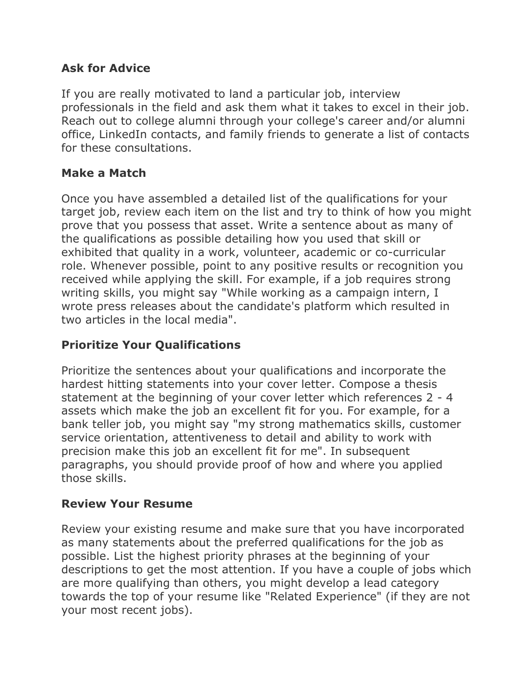#### **Ask for Advice**

If you are really motivated to land a particular job, interview professionals in the field and ask them what it takes to excel in their job. Reach out to college alumni through your college's career and/or alumni office, LinkedIn contacts, and family friends to generate a list of contacts for these consultations.

#### **Make a Match**

Once you have assembled a detailed list of the qualifications for your target job, review each item on the list and try to think of how you might prove that you possess that asset. Write a sentence about as many of the qualifications as possible detailing how you used that skill or exhibited that quality in a work, volunteer, academic or co-curricular role. Whenever possible, point to any positive results or recognition you received while applying the skill. For example, if a job requires strong writing skills, you might say "While working as a campaign intern, I wrote press releases about the candidate's platform which resulted in two articles in the local media".

## **Prioritize Your Qualifications**

Prioritize the sentences about your qualifications and incorporate the hardest hitting statements into your cover letter. Compose a thesis statement at the beginning of your cover letter which references 2 - 4 assets which make the job an excellent fit for you. For example, for a bank teller job, you might say "my strong mathematics skills, customer service orientation, attentiveness to detail and ability to work with precision make this job an excellent fit for me". In subsequent paragraphs, you should provide proof of how and where you applied those skills.

#### **Review Your Resume**

Review your existing resume and make sure that you have incorporated as many statements about the preferred qualifications for the job as possible. List the highest priority phrases at the beginning of your descriptions to get the most attention. If you have a couple of jobs which are more qualifying than others, you might develop a lead category towards the top of your resume like "Related Experience" (if they are not your most recent jobs).